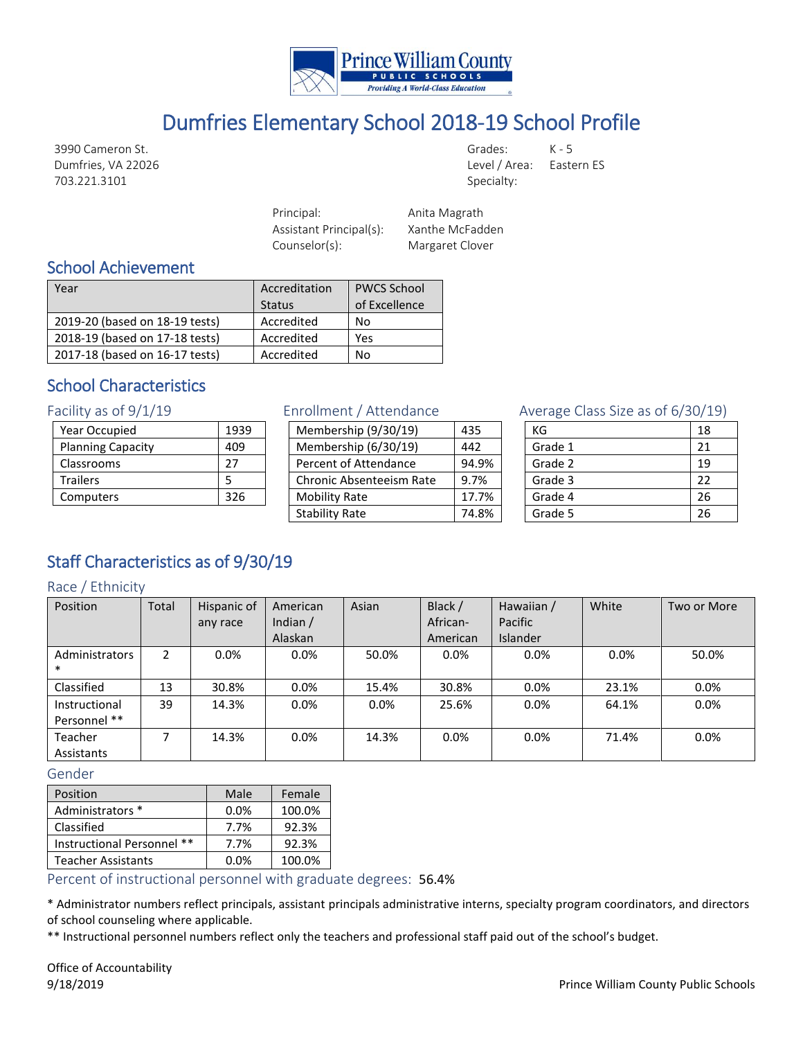

# Dumfries Elementary School 2018-19 School Profile

3990 Cameron St. Dumfries, VA 22026 703.221.3101

Grades: K - 5 Level / Area: Eastern ES Specialty:

Principal: Anita Magrath Assistant Principal(s): Xanthe McFadden Counselor(s): Margaret Clover

## School Achievement

| Year                           | Accreditation<br><b>Status</b> | <b>PWCS School</b><br>of Excellence |
|--------------------------------|--------------------------------|-------------------------------------|
| 2019-20 (based on 18-19 tests) | Accredited                     | No                                  |
| 2018-19 (based on 17-18 tests) | Accredited                     | Yes                                 |
| 2017-18 (based on 16-17 tests) | Accredited                     | No                                  |

# School Characteristics

Facility as of 9/1/19

| <b>Year Occupied</b>     | 1939 |
|--------------------------|------|
| <b>Planning Capacity</b> | 409  |
| Classrooms               | 27   |
| <b>Trailers</b>          | 5    |
| Computers                | 326  |
|                          |      |

#### Enrollment / Attendance

| Membership (9/30/19)            | 435   |
|---------------------------------|-------|
| Membership (6/30/19)            | 442   |
| Percent of Attendance           | 94.9% |
| <b>Chronic Absenteeism Rate</b> | 9.7%  |
| <b>Mobility Rate</b>            | 17.7% |
| <b>Stability Rate</b>           | 74.8% |

### Average Class Size as of 6/30/19)

| КG      | 18 |
|---------|----|
| Grade 1 | 21 |
| Grade 2 | 19 |
| Grade 3 | 22 |
| Grade 4 | 26 |
| Grade 5 | 26 |

# Staff Characteristics as of 9/30/19

#### Race / Ethnicity

| Position       | Total | Hispanic of | American   | Asian   | Black /  | Hawaiian /      | White | Two or More |
|----------------|-------|-------------|------------|---------|----------|-----------------|-------|-------------|
|                |       | any race    | Indian $/$ |         | African- | Pacific         |       |             |
|                |       |             | Alaskan    |         | American | <b>Islander</b> |       |             |
| Administrators | 2     | 0.0%        | $0.0\%$    | 50.0%   | 0.0%     | $0.0\%$         | 0.0%  | 50.0%       |
| $\ast$         |       |             |            |         |          |                 |       |             |
| Classified     | 13    | 30.8%       | $0.0\%$    | 15.4%   | 30.8%    | $0.0\%$         | 23.1% | $0.0\%$     |
| Instructional  | 39    | 14.3%       | $0.0\%$    | $0.0\%$ | 25.6%    | $0.0\%$         | 64.1% | 0.0%        |
| Personnel **   |       |             |            |         |          |                 |       |             |
| Teacher        | ┑     | 14.3%       | $0.0\%$    | 14.3%   | $0.0\%$  | $0.0\%$         | 71.4% | 0.0%        |
| Assistants     |       |             |            |         |          |                 |       |             |

#### Gender

| Position                   | Male | Female |
|----------------------------|------|--------|
| Administrators *           | 0.0% | 100.0% |
| Classified                 | 7.7% | 92.3%  |
| Instructional Personnel ** | 7.7% | 92.3%  |
| Teacher Assistants         | 0.0% | 100.0% |

Percent of instructional personnel with graduate degrees: 56.4%

\* Administrator numbers reflect principals, assistant principals administrative interns, specialty program coordinators, and directors of school counseling where applicable.

\*\* Instructional personnel numbers reflect only the teachers and professional staff paid out of the school's budget.